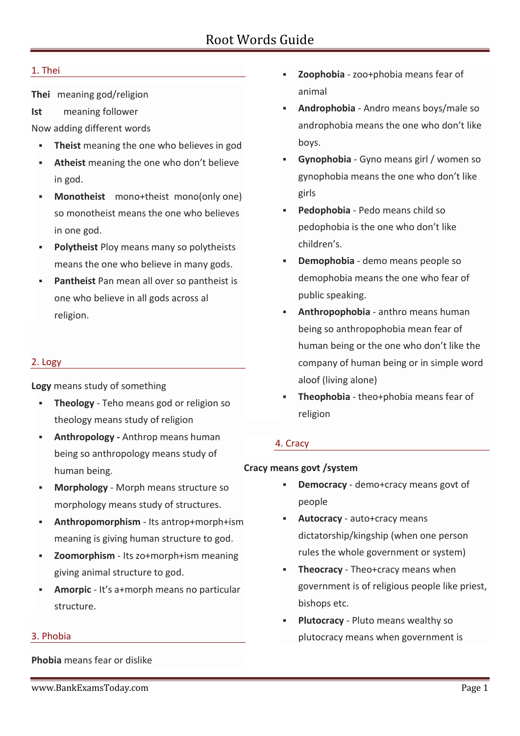## 1. Thei

**Thei** meaning god/religion

**Ist** meaning follower

Now adding different words

- **Theist** meaning the one who believes in god
- **Atheist** meaning the one who don't believe in god.
- **Monotheist** mono+theist mono(only one) so monotheist means the one who believes in one god.
- **Polytheist** Ploy means many so polytheists means the one who believe in many gods.
- **Pantheist** Pan mean all over so pantheist is one who believe in all gods across al religion.

### 2. Logy

**Logy** means study of something

- **Theology** Teho means god or religion so theology means study of religion
- **Anthropology -** Anthrop means human being so anthropology means study of human being.
- **Morphology** Morph means structure so morphology means study of structures.
- **Anthropomorphism** Its antrop+morph+ism meaning is giving human structure to god.
- **Zoomorphism** Its zo+morph+ism meaning giving animal structure to god.
- **Amorpic** It's a+morph means no particular structure.

### 3. Phobia

**Phobia** means fear or dislike

- **Zoophobia** zoo+phobia means fear of animal
- **Androphobia** Andro means boys/male so androphobia means the one who don't like boys.
- **Gynophobia** Gyno means girl / women so gynophobia means the one who don't like girls
- **Pedophobia** Pedo means child so pedophobia is the one who don't like children's.
- **Demophobia** demo means people so demophobia means the one who fear of public speaking.
- **Anthropophobia** anthro means human being so anthropophobia mean fear of human being or the one who don't like the company of human being or in simple word aloof (living alone)
- **Theophobia** theo+phobia means fear of religion

## 4. Cracy

## **Cracy means govt /system**

- **Democracy** demo+cracy means govt of people
- **Autocracy** auto+cracy means dictatorship/kingship (when one person rules the whole government or system)
- **Theocracy** Theo+cracy means when government is of religious people like priest, bishops etc.
- **Plutocracy** Pluto means wealthy so plutocracy means when government is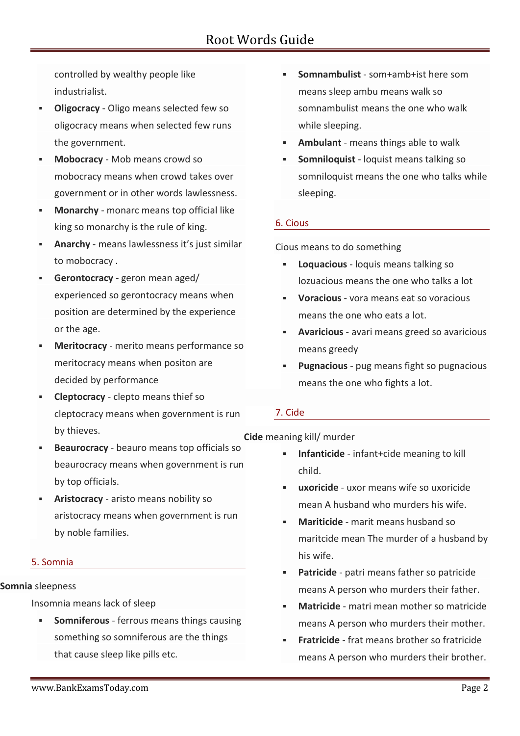controlled by wealthy people like industrialist.

- **Oligocracy** Oligo means selected few so oligocracy means when selected few runs the government.
- **Mobocracy** Mob means crowd so mobocracy means when crowd takes over government or in other words lawlessness.
- **Monarchy** monarc means top official like king so monarchy is the rule of king.
- **Anarchy** means lawlessness it's just similar to mobocracy .
- **Gerontocracy** geron mean aged/ experienced so gerontocracy means when position are determined by the experience or the age.
- **Meritocracy** merito means performance so meritocracy means when positon are decided by performance
- **Cleptocracy** clepto means thief so cleptocracy means when government is run by thieves.
- **Beaurocracy** beauro means top officials so beaurocracy means when government is run by top officials.
- **Aristocracy** aristo means nobility so aristocracy means when government is run by noble families.

## 5. Somnia

### **Somnia** sleepness

Insomnia means lack of sleep

 **Somniferous** - ferrous means things causing something so somniferous are the things that cause sleep like pills etc.

- **Somnambulist** som+amb+ist here som means sleep ambu means walk so somnambulist means the one who walk while sleeping.
- **Ambulant** means things able to walk
- **Somniloquist** loquist means talking so somniloquist means the one who talks while sleeping.

## 6. Cious

Cious means to do something

- **Loquacious** loquis means talking so lozuacious means the one who talks a lot
- **Voracious** vora means eat so voracious means the one who eats a lot.
- **Avaricious** avari means greed so avaricious means greedy
- **Pugnacious** pug means fight so pugnacious means the one who fights a lot.

## 7. Cide

**Cide** meaning kill/ murder

- **Infanticide** infant+cide meaning to kill child.
- **uxoricide** uxor means wife so uxoricide mean A husband who murders his wife.
- **Mariticide** marit means husband so maritcide mean The murder of a husband by his wife.
- **Patricide** patri means father so patricide means A person who murders their father.
- **Matricide** matri mean mother so matricide means A person who murders their mother.
- **Fratricide** frat means brother so fratricide means A person who murders their brother.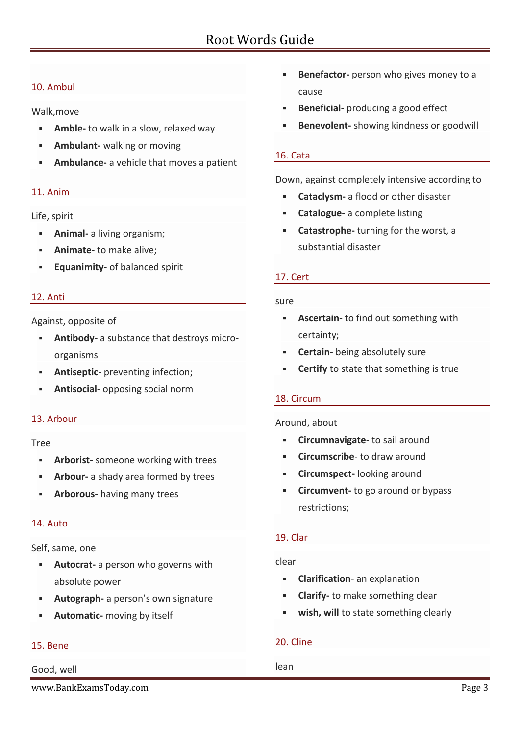## 10. Ambul

Walk,move

- **Amble-** to walk in a slow, relaxed way
- **Ambulant-** walking or moving
- **Ambulance-** a vehicle that moves a patient

### 11. Anim

### Life, spirit

- **Animal-** a living organism;
- **Animate-** to make alive;
- **Equanimity-** of balanced spirit

### 12. Anti

Against, opposite of

- **Antibody-** a substance that destroys micro organisms
- **Antiseptic-** preventing infection;
- **Antisocial-** opposing social norm

### 13. Arbour

### Tree

- **Arborist-** someone working with trees
- **Arbour-** a shady area formed by trees
- **Arborous-** having many trees

### 14. Auto

### Self, same, one

- **Autocrat-** a person who governs with absolute power
- **Autograph-** a person's own signature
- **Automatic-** moving by itself

# 15. Bene

# Good, well

www.BankExamsToday.com Page 3

- **Benefactor-** person who gives money to a cause
- **Beneficial-** producing a good effect
- **Benevolent-** showing kindness or goodwill

### 16. Cata

Down, against completely intensive according to

- **Cataclysm-** a flood or other disaster
- **Catalogue-** a complete listing
- **Catastrophe-** turning for the worst, a substantial disaster

### 17. Cert

### sure

- **Ascertain-** to find out something with certainty;
- **Certain-** being absolutely sure
- **Certify** to state that something is true

## 18. Circum

### Around, about

- **Circumnavigate-** to sail around
- **Circumscribe** to draw around
- **Circumspect-** looking around
- **Circumvent-** to go around or bypass restrictions;

### 19. Clar

### clear

- **Clarification** an explanation
- **Clarify-** to make something clear
- **wish, will** to state something clearly

## 20. Cline

lean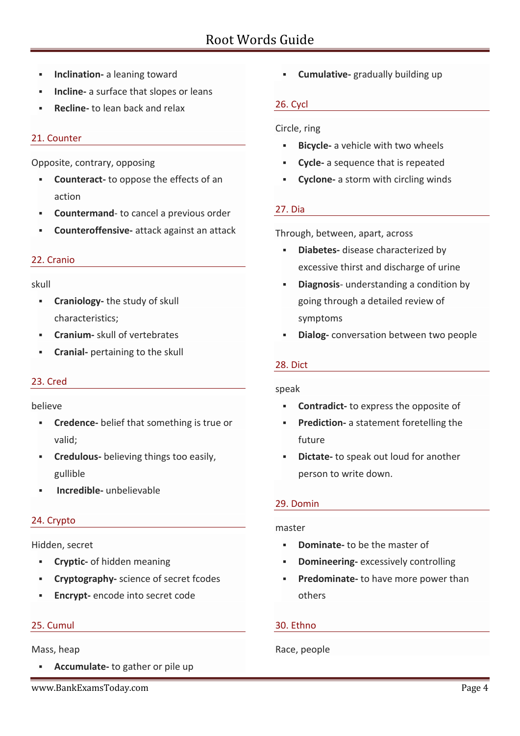- **Inclination-** a leaning toward
- **Incline-** a surface that slopes or leans
- **Recline-** to lean back and relax

## 21. Counter

Opposite, contrary, opposing

- **Counteract-** to oppose the effects of an action
- **Countermand** to cancel a previous order
- **Counteroffensive-** attack against an attack

## 22. Cranio

### skull

- **Craniology-** the study of skull characteristics;
- **Cranium-** skull of vertebrates
- **Cranial-** pertaining to the skull

# 23. Cred

### believe

- **Credence-** belief that something is true or valid;
- **Credulous-** believing things too easily, gullible
- **Incredible-** unbelievable

# 24. Crypto

## Hidden, secret

- **Cryptic-** of hidden meaning
- **Cryptography-** science of secret fcodes
- **Encrypt-** encode into secret code

## 25. Cumul

## Mass, heap

- **Accumulate-** to gather or pile up
- www.BankExamsToday.com Page 4

**Cumulative-** gradually building up

## 26. Cycl

## Circle, ring

- **Bicycle-** a vehicle with two wheels
- **Cycle-** a sequence that is repeated
- **Cyclone-** a storm with circling winds

## 27. Dia

Through, between, apart, across

- **Diabetes-** disease characterized by excessive thirst and discharge of urine
- **Diagnosis** understanding a condition by going through a detailed review of symptoms
- **Dialog-** conversation between two people

## 28. Dict

## speak

- **Contradict-** to express the opposite of
- **Prediction-** a statement foretelling the future
- **Dictate-** to speak out loud for another person to write down.

## 29. Domin

## master

- **Dominate-** to be the master of
- **Domineering-** excessively controlling
- **Predominate-** to have more power than others

## 30. Ethno

## Race, people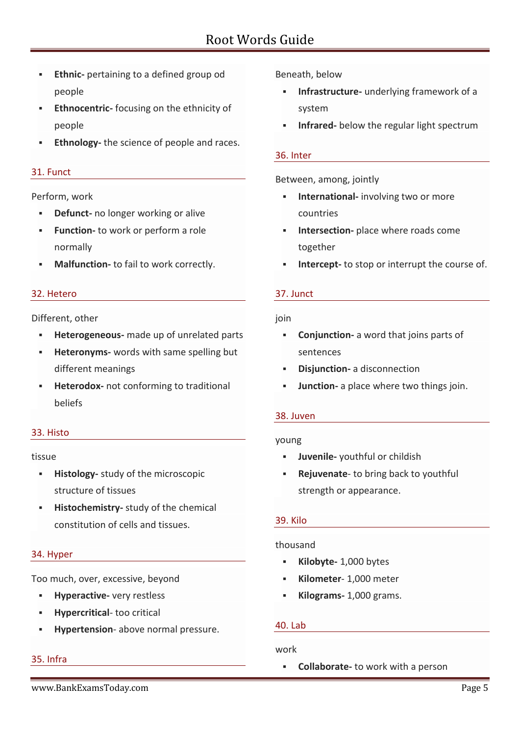- **Ethnic-** pertaining to a defined group od people
- **Ethnocentric-** focusing on the ethnicity of people
- **Ethnology-** the science of people and races.

### 31. Funct

### Perform, work

- **Defunct-** no longer working or alive
- **Function-** to work or perform a role normally
- **Malfunction-** to fail to work correctly.

### 32. Hetero

### Different, other

- **Heterogeneous-** made up of unrelated parts
- **Heteronyms-** words with same spelling but different meanings
- **Heterodox-** not conforming to traditional beliefs

## 33. Histo

### tissue

- **Histology-** study of the microscopic structure of tissues
- **Histochemistry-** study of the chemical constitution of cells and tissues.

## 34. Hyper

Too much, over, excessive, beyond

- **Hyperactive-** very restless
- **Hypercritical** too critical
- **Hypertension** above normal pressure.

## 35. Infra

Beneath, below

- **Infrastructure-** underlying framework of a system
- **Infrared-** below the regular light spectrum

### 36. Inter

Between, among, jointly

- **International-** involving two or more countries
- **Intersection-** place where roads come together
- **Intercept-** to stop or interrupt the course of.

## 37. Junct

### join

- **Conjunction-** a word that joins parts of sentences
- **Disjunction-** a disconnection
- **Junction-** a place where two things join.

## 38. Juven

### young

- **Juvenile-** youthful or childish
- **Rejuvenate** to bring back to youthful strength or appearance.

## 39. Kilo

### thousand

- **Kilobyte-** 1,000 bytes
- **Kilometer** 1,000 meter
- **Kilograms-** 1,000 grams.

## 40. Lab

## work

**Collaborate-** to work with a person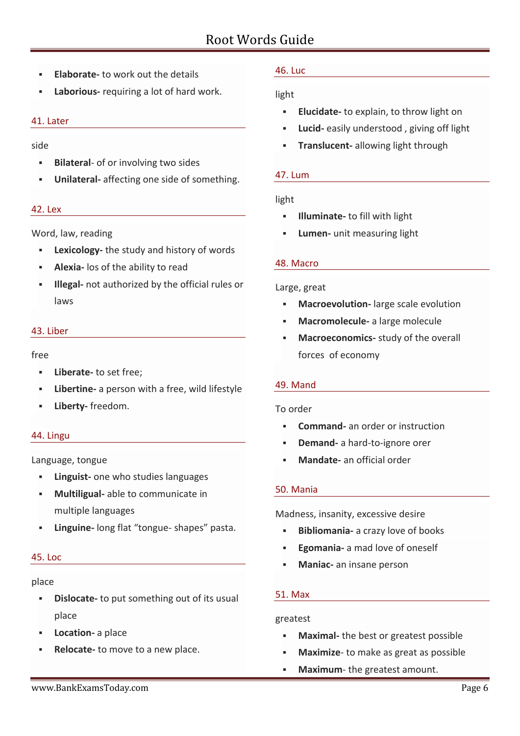- **Elaborate-** to work out the details
- **Laborious-** requiring a lot of hard work.

### 41. Later

side

- **Bilateral-** of or involving two sides
- **Unilateral-** affecting one side of something.

### 42. Lex

Word, law, reading

- **Lexicology-** the study and history of words
- **Alexia-** los of the ability to read
- **Illegal-** not authorized by the official rules or laws

### 43. Liber

free

- **Liberate-** to set free;
- **Libertine-** a person with a free, wild lifestyle
- **Liberty-** freedom.

### 44. Lingu

Language, tongue

- **Linguist-** one who studies languages
- **Multiligual-** able to communicate in multiple languages
- **Linguine-** long flat "tongue- shapes" pasta.

### 45. Loc

place

- **Dislocate-** to put something out of its usual place
- **Location-** a place
- **Relocate-** to move to a new place.

## 46. Luc

## light

- **Elucidate-** to explain, to throw light on
- **Lucid-** easily understood , giving off light
- **Translucent-** allowing light through

### 47. Lum

### light

- **Illuminate-** to fill with light
- **Lumen-** unit measuring light

### 48. Macro

### Large, great

- **Macroevolution-** large scale evolution
- **Macromolecule-** a large molecule
- **Macroeconomics-** study of the overall forces of economy

## 49. Mand

## To order

- **Command-** an order or instruction
- **Demand-** a hard-to-ignore orer
- **Mandate-** an official order

## 50. Mania

Madness, insanity, excessive desire

- **Bibliomania-** a crazy love of books
- **Egomania-** a mad love of oneself
- **Maniac-** an insane person

### 51. Max

### greatest

- **Maximal-** the best or greatest possible
- **Maximize** to make as great as possible
- **Maximum** the greatest amount.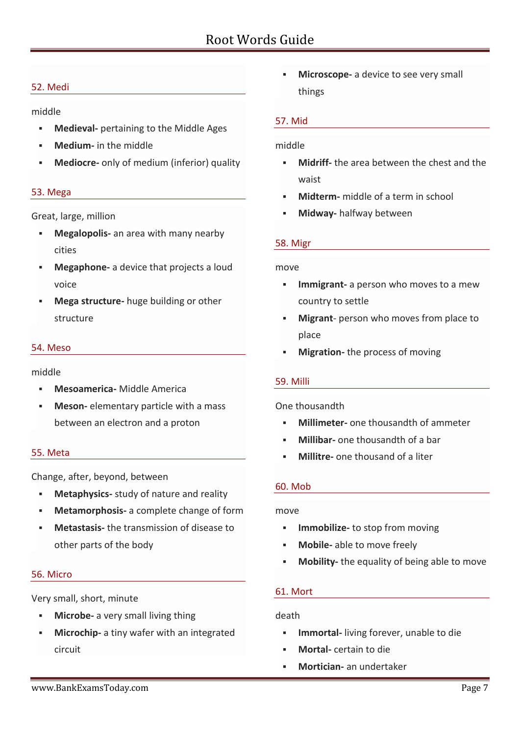## 52. Medi

middle

- **Medieval-** pertaining to the Middle Ages
- **Medium-** in the middle
- **Mediocre-** only of medium (inferior) quality

## 53. Mega

Great, large, million

- **Megalopolis-** an area with many nearby cities
- **Megaphone-** a device that projects a loud voice
- **Mega structure-** huge building or other structure

## 54. Meso

middle

- **Mesoamerica-** Middle America
- **Meson-** elementary particle with a mass between an electron and a proton

## 55. Meta

Change, after, beyond, between

- **Metaphysics-** study of nature and reality
- **Metamorphosis-** a complete change of form
- **Metastasis-** the transmission of disease to other parts of the body

## 56. Micro

Very small, short, minute

- **Microbe-** a very small living thing
- **Microchip-** a tiny wafer with an integrated circuit

 **Microscope-** a device to see very small things

### 57. Mid

### middle

- **Midriff-** the area between the chest and the waist
- **Midterm-** middle of a term in school
- **Midway-** halfway between

## 58. Migr

### move

- **Immigrant-** a person who moves to a mew country to settle
- **Migrant** person who moves from place to place
- **Migration-** the process of moving

## 59. Milli

## One thousandth

- **Millimeter-** one thousandth of ammeter
- **Millibar-** one thousandth of a bar
- **Millitre-** one thousand of a liter

## 60. Mob

### move

- **Immobilize-** to stop from moving
- **Mobile-** able to move freely
- **Mobility-** the equality of being able to move

### 61. Mort

### death

- **Immortal-** living forever, unable to die
- **Mortal-** certain to die
- **Mortician-** an undertaker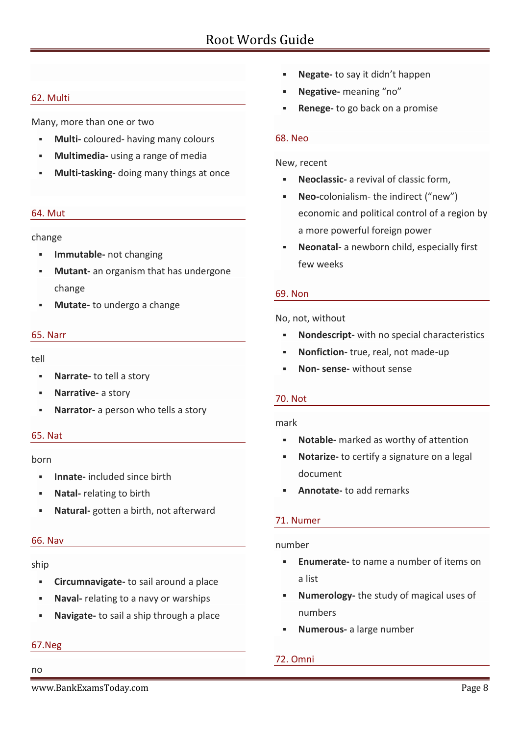### 62. Multi

Many, more than one or two

- **Multi-** coloured- having many colours
- **Multimedia-** using a range of media
- **Multi-tasking-** doing many things at once

#### 64. Mut

change

- **Immutable-** not changing
- **Mutant-** an organism that has undergone change
- **Mutate-** to undergo a change

#### 65. Narr

tell

- **Narrate-** to tell a story
- **Narrative-** a story
- **Narrator-** a person who tells a story

### 65. Nat

#### born

- **Innate-** included since birth
- **Natal-** relating to birth
- **Natural-** gotten a birth, not afterward

#### 66. Nav

#### ship

- **Circumnavigate-** to sail around a place
- **Naval-** relating to a navy or warships
- **Navigate-** to sail a ship through a place

# 67.Neg

## no

- **Negate-** to say it didn't happen
- **Negative-** meaning "no"
- **Renege-** to go back on a promise

### 68. Neo

#### New, recent

- **Neoclassic-** a revival of classic form,
- **Neo-**colonialism- the indirect ("new") economic and political control of a region by a more powerful foreign power
- **Neonatal-** a newborn child, especially first few weeks

### 69. Non

No, not, without

- **Nondescript-** with no special characteristics
- **Nonfiction-** true, real, not made-up
- **Non- sense-** without sense

### 70. Not

### mark

- **Notable-** marked as worthy of attention
- **Notarize-** to certify a signature on a legal document
- **Annotate-** to add remarks

## 71. Numer

### number

- **Enumerate-** to name a number of items on a list
- **Numerology-** the study of magical uses of numbers
- **Numerous-** a large number

# 72. Omni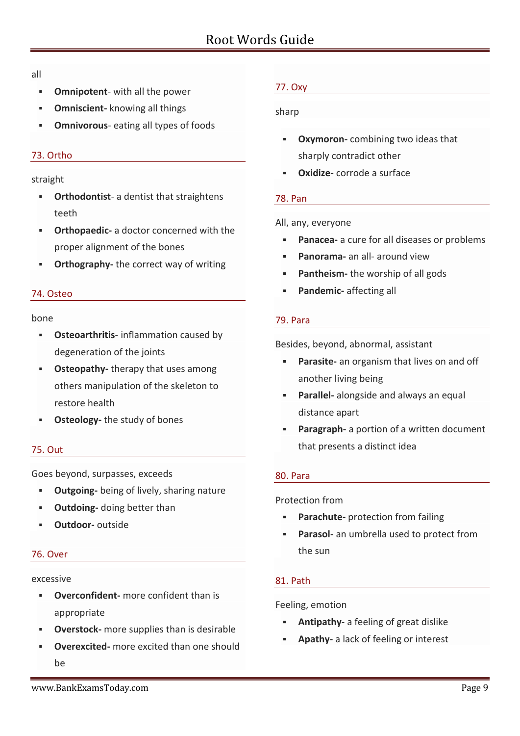all

- **Omnipotent** with all the power
- **Omniscient-** knowing all things
- **Omnivorous** eating all types of foods

# 73. Ortho

# straight

- **Orthodontist** a dentist that straightens teeth
- **Orthopaedic-** a doctor concerned with the proper alignment of the bones
- **Orthography-** the correct way of writing

# 74. Osteo

# bone

- **Osteoarthritis** inflammation caused by degeneration of the joints
- **Osteopathy-** therapy that uses among others manipulation of the skeleton to restore health
- **Osteology-** the study of bones

# 75. Out

Goes beyond, surpasses, exceeds

- **Outgoing-** being of lively, sharing nature
- **Outdoing-** doing better than
- **Outdoor-** outside

# 76. Over

# excessive

- **Overconfident-** more confident than is appropriate
- **Overstock-** more supplies than is desirable
- **Overexcited-** more excited than one should be

# 77. Oxy

# sharp

- **Oxymoron-** combining two ideas that sharply contradict other
- **Oxidize-** corrode a surface

# 78. Pan

## All, any, everyone

- **Panacea-** a cure for all diseases or problems
- **Panorama-** an all- around view
- **Pantheism-** the worship of all gods
- **Pandemic-** affecting all

# 79. Para

Besides, beyond, abnormal, assistant

- **Parasite-** an organism that lives on and off another living being
- **Parallel-** alongside and always an equal distance apart
- **Paragraph-** a portion of a written document that presents a distinct idea

# 80. Para

Protection from

- **Parachute-** protection from failing
- **Parasol-** an umbrella used to protect from the sun

# 81. Path

# Feeling, emotion

- **Antipathy** a feeling of great dislike
- **Apathy-** a lack of feeling or interest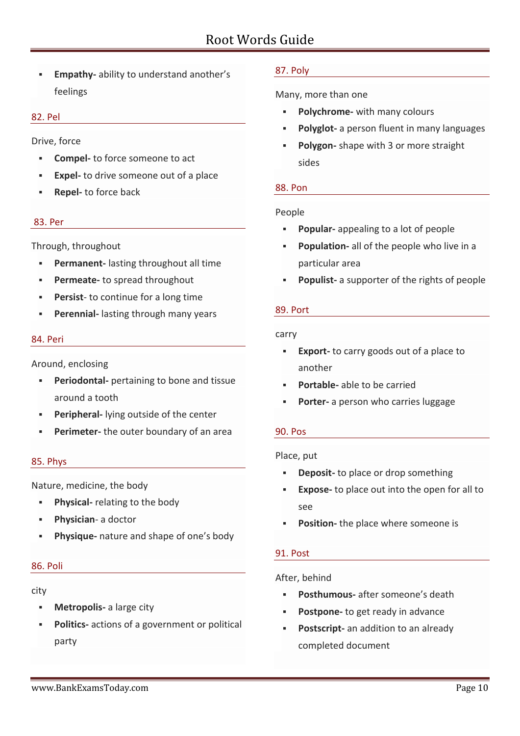**Empathy-** ability to understand another's feelings

#### 82. Pel

Drive, force

- **Compel-** to force someone to act
- **Expel-** to drive someone out of a place
- **Repel-** to force back

#### 83. Per

Through, throughout

- **Permanent-** lasting throughout all time
- **Permeate-** to spread throughout
- **Persist** to continue for a long time
- **Perennial-** lasting through many years

#### 84. Peri

Around, enclosing

- **Periodontal-** pertaining to bone and tissue around a tooth
- **Peripheral-** lying outside of the center
- **Perimeter-** the outer boundary of an area

#### 85. Phys

Nature, medicine, the body

- **Physical-** relating to the body
- **Physician** a doctor
- **Physique-** nature and shape of one's body

#### 86. Poli

#### city

- **Metropolis-** a large city
- **Politics-** actions of a government or political party

### 87. Poly

Many, more than one

- **Polychrome-** with many colours
- **Polyglot-** a person fluent in many languages
- **Polygon-** shape with 3 or more straight sides

### 88. Pon

### People

- **Popular-** appealing to a lot of people
- **Population-** all of the people who live in a particular area
- **Populist-** a supporter of the rights of people

#### 89. Port

#### carry

- **Export-** to carry goods out of a place to another
- **Portable-** able to be carried
- **Porter-** a person who carries luggage

### 90. Pos

### Place, put

- **Deposit-** to place or drop something
- **Expose-** to place out into the open for all to see
- **Position-** the place where someone is

### 91. Post

### After, behind

- **Posthumous-** after someone's death
- **Postpone-** to get ready in advance
- **Postscript-** an addition to an already completed document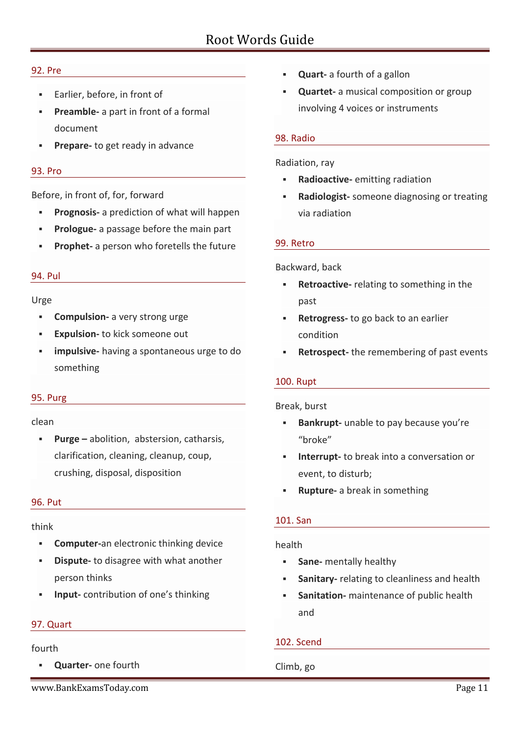### 92. Pre

- **Earlier, before, in front of**
- **Preamble-** a part in front of a formal document
- **Prepare-** to get ready in advance

### 93. Pro

Before, in front of, for, forward

- **Prognosis-** a prediction of what will happen
- **Prologue-** a passage before the main part
- **Prophet-** a person who foretells the future

### 94. Pul

### Urge

- **Compulsion-** a very strong urge
- **Expulsion-** to kick someone out
- **impulsive-** having a spontaneous urge to do something

### 95. Purg

### clean

 **Purge –** abolition, abstersion, catharsis, clarification, cleaning, cleanup, coup, crushing, disposal, disposition

### 96. Put

### think

- **Computer-**an electronic thinking device
- **Dispute-** to disagree with what another person thinks
- **Input-** contribution of one's thinking

### 97. Quart

### fourth

- **Quarter-** one fourth
- www.BankExamsToday.com example and the control of the control of the control of the control of the control of the control of the control of the control of the control of the control of the control of the control of the con
- **Quart-** a fourth of a gallon
- **Quartet-** a musical composition or group involving 4 voices or instruments

### 98. Radio

#### Radiation, ray

- **Radioactive-** emitting radiation
- **Radiologist-** someone diagnosing or treating via radiation

### 99. Retro

#### Backward, back

- **Retroactive-** relating to something in the past
- **Retrogress-** to go back to an earlier condition
- **Retrospect-** the remembering of past events

### 100. Rupt

Break, burst

- **Bankrupt-** unable to pay because you're "broke"
- **Interrupt-** to break into a conversation or event, to disturb;
- **Rupture-** a break in something

## 101. San

### health

- **Sane-** mentally healthy
- **Sanitary-** relating to cleanliness and health
- **Sanitation-** maintenance of public health and

## 102. Scend

Climb, go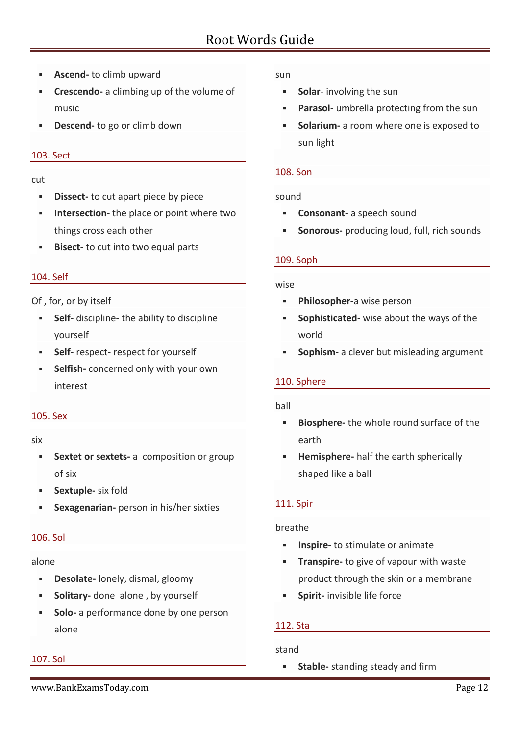- **Ascend-** to climb upward
- **Crescendo-** a climbing up of the volume of music
- **Descend-** to go or climb down

### 103. Sect

cut

- **Dissect-** to cut apart piece by piece
- **Intersection-** the place or point where two things cross each other
- **Bisect-** to cut into two equal parts

## 104. Self

Of , for, or by itself

- **Self-** discipline- the ability to discipline yourself
- **Self-** respect- respect for yourself
- **Selfish-** concerned only with your own interest

### 105. Sex

#### six

- **Sextet or sextets-** a composition or group of six
- **Sextuple-** six fold
- **Sexagenarian-** person in his/her sixties

## 106. Sol

## alone

- **Desolate-** lonely, dismal, gloomy
- **Solitary-** done alone, by yourself
- **Solo-** a performance done by one person alone

## 107. Sol

### sun

- **Solar-** involving the sun
- **Parasol-** umbrella protecting from the sun
- **Solarium-** a room where one is exposed to sun light

### 108. Son

### sound

- **Consonant-** a speech sound
- **Sonorous-** producing loud, full, rich sounds

### 109. Soph

### wise

- **Philosopher-**a wise person
- **Sophisticated-** wise about the ways of the world
- **Sophism-** a clever but misleading argument

## 110. Sphere

### ball

- **Biosphere-** the whole round surface of the earth
- **Hemisphere-** half the earth spherically shaped like a ball

## 111. Spir

## breathe

- **Inspire-** to stimulate or animate
- **Transpire-** to give of vapour with waste product through the skin or a membrane
- **Spirit-** invisible life force

## 112. Sta

## stand

**Stable-** standing steady and firm

www.BankExamsToday.com Page 12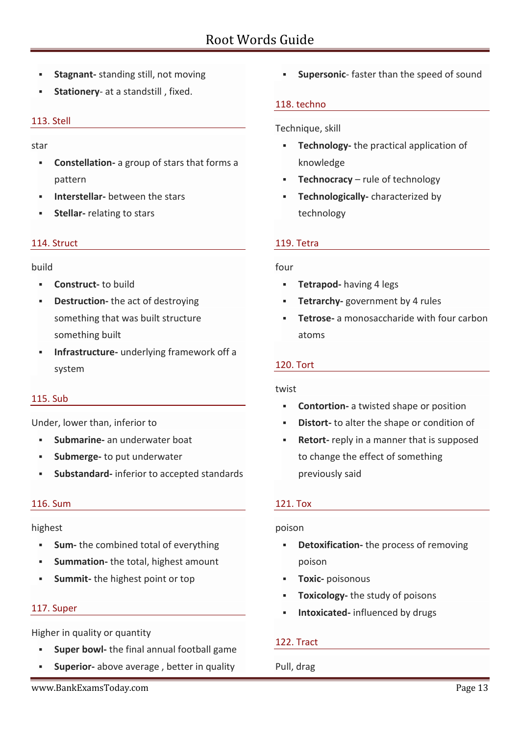- **Stagnant-** standing still, not moving
- **Stationery** at a standstill , fixed.

### 113. Stell

star

- **Constellation-** a group of stars that forms a pattern
- **Interstellar-** between the stars
- **Stellar-** relating to stars

### 114. Struct

#### build

- **Construct-** to build
- **Destruction-** the act of destroying something that was built structure something built
- **Infrastructure-** underlying framework off a system

### 115. Sub

Under, lower than, inferior to

- **Submarine-** an underwater boat
- **Submerge-** to put underwater
- **Substandard-** inferior to accepted standards

### 116. Sum

### highest

- **Sum-** the combined total of everything
- **Summation-** the total, highest amount
- **Summit-** the highest point or top

### 117. Super

Higher in quality or quantity

- **Super bowl-** the final annual football game
- **Superior-** above average , better in quality

**Supersonic**- faster than the speed of sound

### 118. techno

Technique, skill

- **Technology-** the practical application of knowledge
- **FREE 12 Technocracy** rule of technology
- **Technologically-** characterized by technology

### 119. Tetra

### four

- **Tetrapod-** having 4 legs
- **Tetrarchy-** government by 4 rules
- **Tetrose-** a monosaccharide with four carbon atoms

### 120. Tort

### twist

- **Contortion-** a twisted shape or position
- **Distort-** to alter the shape or condition of
- **Retort-** reply in a manner that is supposed to change the effect of something previously said

### 121. Tox

### poison

- **Detoxification-** the process of removing poison
- **Toxic-** poisonous
- **Toxicology-** the study of poisons
- **Intoxicated-** influenced by drugs

## 122. Tract

Pull, drag